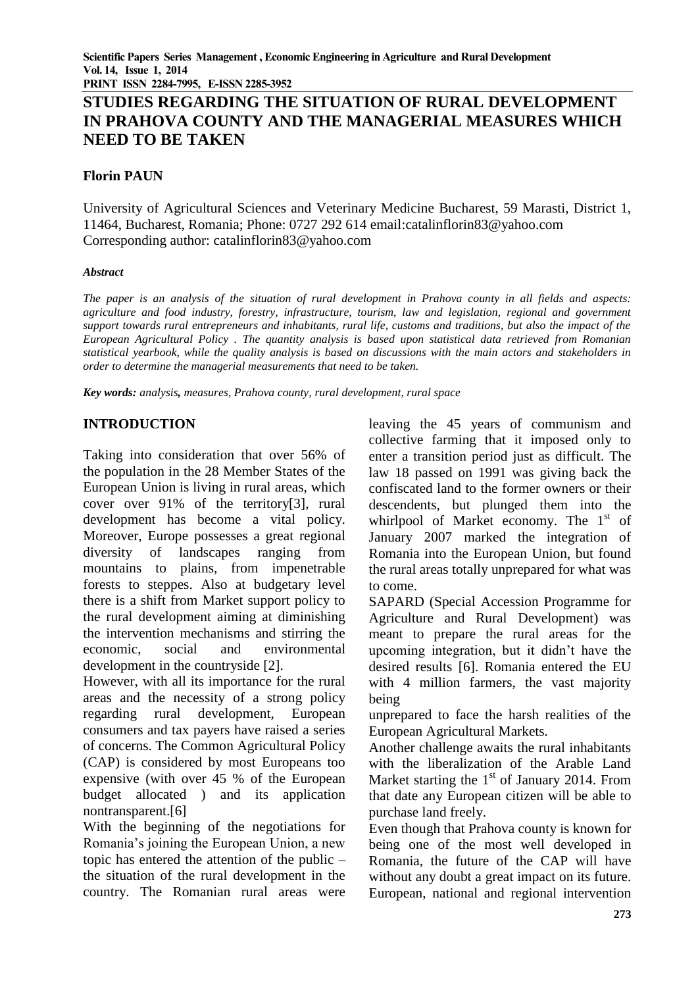**PRINT ISSN 2284-7995, E-ISSN 2285-3952** 

# **STUDIES REGARDING THE SITUATION OF RURAL DEVELOPMENT IN PRAHOVA COUNTY AND THE MANAGERIAL MEASURES WHICH NEED TO BE TAKEN**

## **Florin PAUN**

University of Agricultural Sciences and Veterinary Medicine Bucharest, 59 Marasti, District 1, 11464, Bucharest, Romania; Phone: 0727 292 614 email:catalinflorin83@yahoo.com Corresponding author: [catalinflorin83@yahoo.com](mailto:catalinflorin83@yahoo.com)

#### *Abstract*

*The paper is an analysis of the situation of rural development in Prahova county in all fields and aspects: agriculture and food industry, forestry, infrastructure, tourism, law and legislation, regional and government support towards rural entrepreneurs and inhabitants, rural life, customs and traditions, but also the impact of the European Agricultural Policy . The quantity analysis is based upon statistical data retrieved from Romanian statistical yearbook, while the quality analysis is based on discussions with the main actors and stakeholders in order to determine the managerial measurements that need to be taken.*

*Key words: analysis, measures, Prahova county, rural development, rural space*

## **INTRODUCTION**

Taking into consideration that over 56% of the population in the 28 Member States of the European Union is living in rural areas, which cover over 91% of the territory[3], rural development has become a vital policy. Moreover, Europe possesses a great regional diversity of landscapes ranging from mountains to plains, from impenetrable forests to steppes. Also at budgetary level there is a shift from Market support policy to the rural development aiming at diminishing the intervention mechanisms and stirring the economic, social and environmental development in the countryside [2].

However, with all its importance for the rural areas and the necessity of a strong policy regarding rural development, European consumers and tax payers have raised a series of concerns. The Common Agricultural Policy (CAP) is considered by most Europeans too expensive (with over 45 % of the European budget allocated ) and its application nontransparent.[6]

With the beginning of the negotiations for Romania's joining the European Union, a new topic has entered the attention of the public – the situation of the rural development in the country. The Romanian rural areas were

leaving the 45 years of communism and collective farming that it imposed only to enter a transition period just as difficult. The law 18 passed on 1991 was giving back the confiscated land to the former owners or their descendents, but plunged them into the whirlpool of Market economy. The  $1<sup>st</sup>$  of January 2007 marked the integration of Romania into the European Union, but found the rural areas totally unprepared for what was to come.

SAPARD (Special Accession Programme for Agriculture and Rural Development) was meant to prepare the rural areas for the upcoming integration, but it didn't have the desired results [6]. Romania entered the EU with 4 million farmers, the vast majority being

unprepared to face the harsh realities of the European Agricultural Markets.

Another challenge awaits the rural inhabitants with the liberalization of the Arable Land Market starting the  $1<sup>st</sup>$  of January 2014. From that date any European citizen will be able to purchase land freely.

Even though that Prahova county is known for being one of the most well developed in Romania, the future of the CAP will have without any doubt a great impact on its future. European, national and regional intervention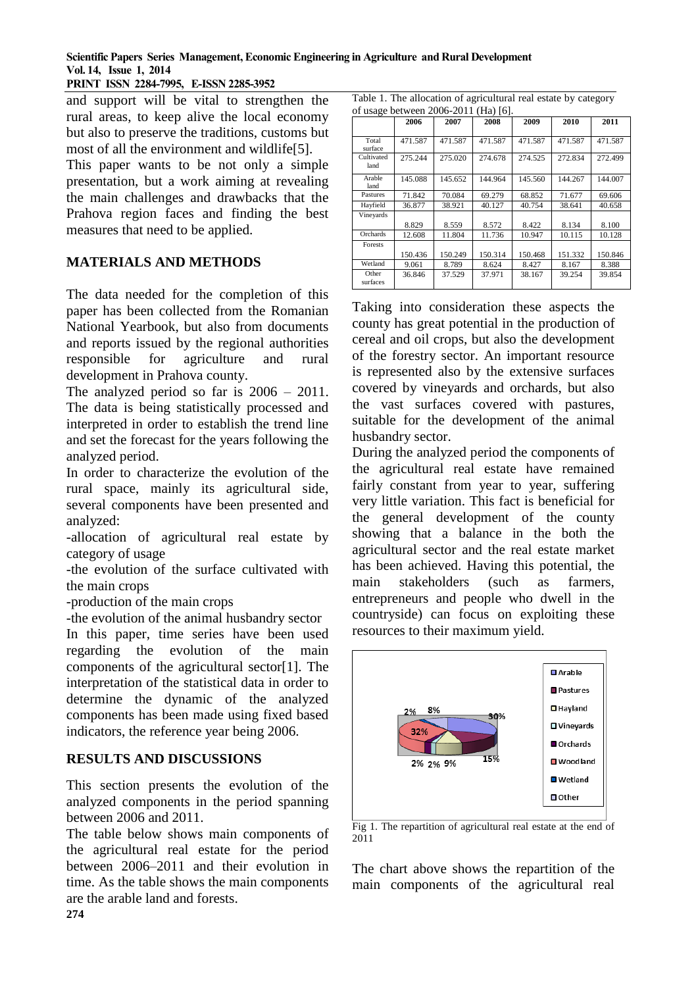**Scientific Papers Series Management, Economic Engineering in Agriculture and Rural Development Vol. 14, Issue 1, 2014**

**PRINT ISSN 2284-7995, E-ISSN 2285-3952** 

and support will be vital to strengthen the rural areas, to keep alive the local economy but also to preserve the traditions, customs but most of all the environment and wildlife[5].

This paper wants to be not only a simple presentation, but a work aiming at revealing the main challenges and drawbacks that the Prahova region faces and finding the best measures that need to be applied.

## **MATERIALS AND METHODS**

The data needed for the completion of this paper has been collected from the Romanian National Yearbook, but also from documents and reports issued by the regional authorities responsible for agriculture and rural development in Prahova county.

The analyzed period so far is 2006 – 2011. The data is being statistically processed and interpreted in order to establish the trend line and set the forecast for the years following the analyzed period.

In order to characterize the evolution of the rural space, mainly its agricultural side, several components have been presented and analyzed:

-allocation of agricultural real estate by category of usage

-the evolution of the surface cultivated with the main crops

-production of the main crops

-the evolution of the animal husbandry sector

In this paper, time series have been used regarding the evolution of the main components of the agricultural sector[1]. The interpretation of the statistical data in order to determine the dynamic of the analyzed components has been made using fixed based indicators, the reference year being 2006.

## **RESULTS AND DISCUSSIONS**

This section presents the evolution of the analyzed components in the period spanning between 2006 and 2011.

The table below shows main components of the agricultural real estate for the period between 2006–2011 and their evolution in time. As the table shows the main components are the arable land and forests.

| Table 1. The allocation of agricultural real estate by category |
|-----------------------------------------------------------------|
| of usage between 2006-2011 (Ha) [6].                            |

|                    | 2006    | 2007    | 2008    | 2009    | 2010    | 2011    |
|--------------------|---------|---------|---------|---------|---------|---------|
| Total<br>surface   | 471.587 | 471.587 | 471.587 | 471.587 | 471.587 | 471.587 |
| Cultivated<br>land | 275.244 | 275.020 | 274.678 | 274.525 | 272.834 | 272.499 |
| Arable<br>land     | 145.088 | 145.652 | 144.964 | 145.560 | 144.267 | 144.007 |
| Pastures           | 71.842  | 70.084  | 69.279  | 68.852  | 71.677  | 69.606  |
| Hayfield           | 36.877  | 38.921  | 40.127  | 40.754  | 38.641  | 40.658  |
| Vineyards          |         |         |         |         |         |         |
|                    | 8.829   | 8.559   | 8.572   | 8.422   | 8.134   | 8.100   |
| Orchards           | 12.608  | 11.804  | 11.736  | 10.947  | 10.115  | 10.128  |
| Forests            |         |         |         |         |         |         |
|                    | 150.436 | 150.249 | 150.314 | 150.468 | 151.332 | 150.846 |
| Wetland            | 9.061   | 8.789   | 8.624   | 8.427   | 8.167   | 8.388   |
| Other<br>surfaces  | 36.846  | 37.529  | 37.971  | 38.167  | 39.254  | 39.854  |

Taking into consideration these aspects the county has great potential in the production of cereal and oil crops, but also the development of the forestry sector. An important resource is represented also by the extensive surfaces covered by vineyards and orchards, but also the vast surfaces covered with pastures, suitable for the development of the animal husbandry sector.

During the analyzed period the components of the agricultural real estate have remained fairly constant from year to year, suffering very little variation. This fact is beneficial for the general development of the county showing that a balance in the both the agricultural sector and the real estate market has been achieved. Having this potential, the main stakeholders (such as farmers, entrepreneurs and people who dwell in the countryside) can focus on exploiting these resources to their maximum yield.



Fig 1. The repartition of agricultural real estate at the end of 2011

The chart above shows the repartition of the main components of the agricultural real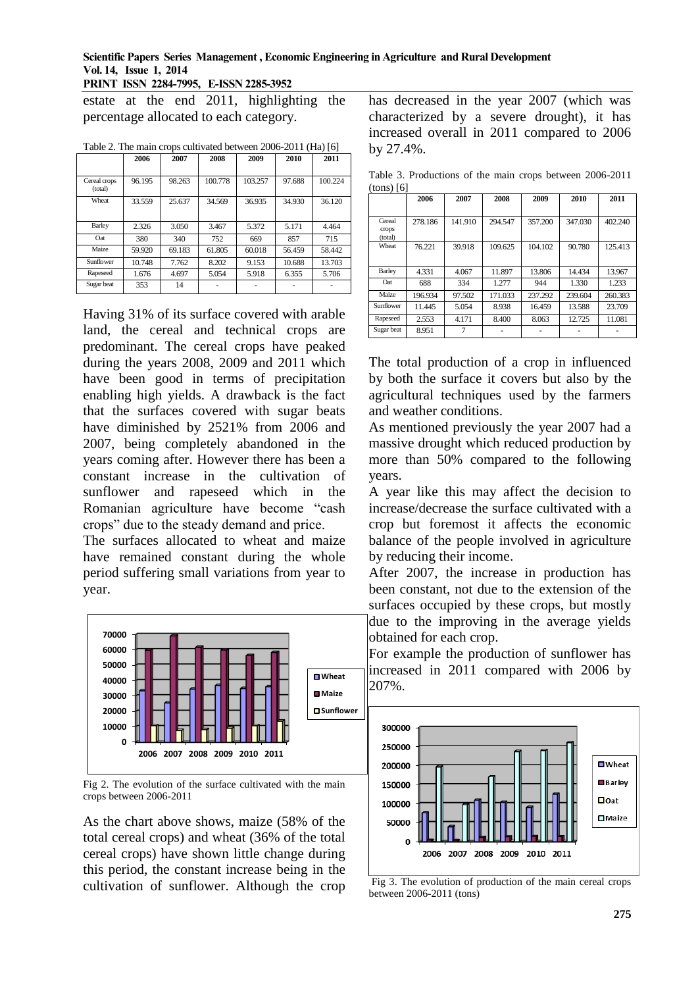#### **Scientific Papers Series Management , Economic Engineering in Agriculture and Rural Development Vol. 14, Issue 1, 2014**

**PRINT ISSN 2284-7995, E-ISSN 2285-3952** 

estate at the end 2011, highlighting the percentage allocated to each category.

|                         | 2006   | 2007   | 2008    | 2009    | 2010   | 2011    |
|-------------------------|--------|--------|---------|---------|--------|---------|
| Cereal crops<br>(total) | 96.195 | 98.263 | 100.778 | 103.257 | 97.688 | 100.224 |
| Wheat                   | 33.559 | 25.637 | 34.569  | 36.935  | 34.930 | 36.120  |
| Barley                  | 2.326  | 3.050  | 3.467   | 5.372   | 5.171  | 4.464   |
| Oat                     | 380    | 340    | 752     | 669     | 857    | 715     |
| Maize                   | 59.920 | 69.183 | 61.805  | 60.018  | 56.459 | 58.442  |
| Sunflower               | 10.748 | 7.762  | 8.202   | 9.153   | 10.688 | 13.703  |
| Rapeseed                | 1.676  | 4.697  | 5.054   | 5.918   | 6.355  | 5.706   |
| Sugar beat              | 353    | 14     |         |         |        |         |

Table 2. The main crops cultivated between 2006-2011 (Ha) [6]

Having 31% of its surface covered with arable land, the cereal and technical crops are predominant. The cereal crops have peaked during the years 2008, 2009 and 2011 which have been good in terms of precipitation enabling high yields. A drawback is the fact that the surfaces covered with sugar beats have diminished by 2521% from 2006 and 2007, being completely abandoned in the years coming after. However there has been a constant increase in the cultivation of sunflower and rapeseed which in the Romanian agriculture have become "cash crops" due to the steady demand and price.

The surfaces allocated to wheat and maize have remained constant during the whole period suffering small variations from year to year.



Fig 2. The evolution of the surface cultivated with the main crops between 2006-2011

As the chart above shows, maize (58% of the total cereal crops) and wheat (36% of the total cereal crops) have shown little change during this period, the constant increase being in the cultivation of sunflower. Although the crop

has decreased in the year 2007 (which was characterized by a severe drought), it has increased overall in 2011 compared to 2006 by 27.4%.

Table 3. Productions of the main crops between 2006-2011  $(tone)$  [6]

| 0.1137101                  | 2006    | 2007    | 2008    | 2009    | 2010    | 2011    |
|----------------------------|---------|---------|---------|---------|---------|---------|
|                            |         |         |         |         |         |         |
| Cereal<br>crops<br>(total) | 278.186 | 141.910 | 294.547 | 357.200 | 347.030 | 402.240 |
| Wheat                      | 76.221  | 39.918  | 109.625 | 104.102 | 90.780  | 125.413 |
| Barley                     | 4.331   | 4.067   | 11.897  | 13.806  | 14.434  | 13.967  |
| Oat                        | 688     | 334     | 1.277   | 944     | 1.330   | 1.233   |
| Maize                      | 196.934 | 97.502  | 171.033 | 237.292 | 239.604 | 260.383 |
| Sunflower                  | 11.445  | 5.054   | 8.938   | 16.459  | 13.588  | 23.709  |
| Rapeseed                   | 2.553   | 4.171   | 8.400   | 8.063   | 12.725  | 11.081  |
| Sugar beat                 | 8.951   | 7       |         |         |         |         |

The total production of a crop in influenced by both the surface it covers but also by the agricultural techniques used by the farmers and weather conditions.

As mentioned previously the year 2007 had a massive drought which reduced production by more than 50% compared to the following years.

A year like this may affect the decision to increase/decrease the surface cultivated with a crop but foremost it affects the economic balance of the people involved in agriculture by reducing their income.

After 2007, the increase in production has been constant, not due to the extension of the surfaces occupied by these crops, but mostly due to the improving in the average yields obtained for each crop.

For example the production of sunflower has increased in 2011 compared with 2006 by 207%.



Fig 3. The evolution of production of the main cereal crops between 2006-2011 (tons)